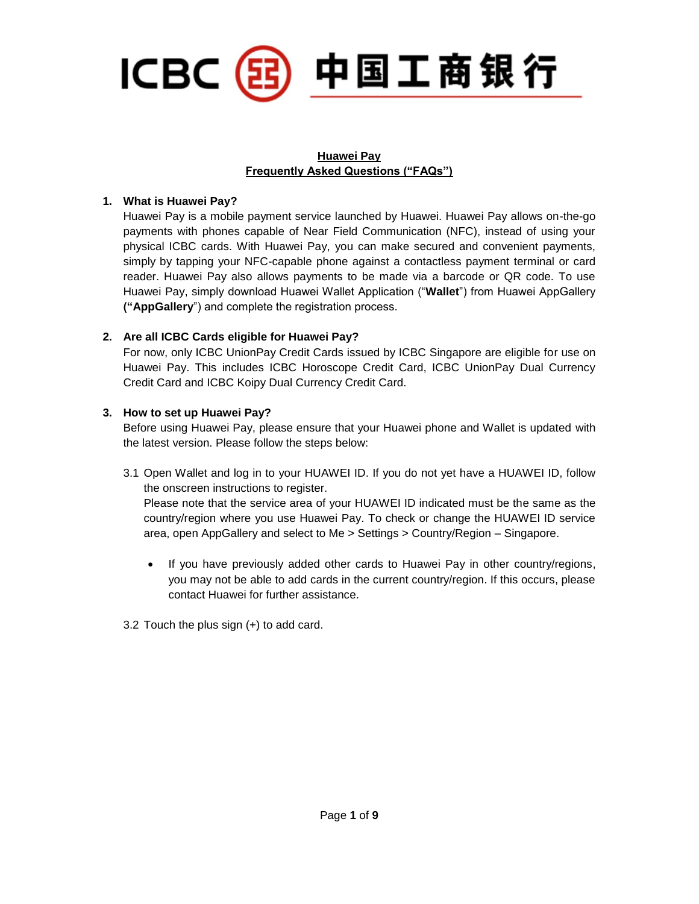

# **Huawei Pay Frequently Asked Questions ("FAQs")**

# **1. What is Huawei Pay?**

Huawei Pay is a mobile payment service launched by Huawei. Huawei Pay allows on-the-go payments with phones capable of Near Field Communication (NFC), instead of using your physical ICBC cards. With Huawei Pay, you can make secured and convenient payments, simply by tapping your NFC-capable phone against a contactless payment terminal or card reader. Huawei Pay also allows payments to be made via a barcode or QR code. To use Huawei Pay, simply download Huawei Wallet Application ("**Wallet**") from Huawei AppGallery **("AppGallery**") and complete the registration process.

# **2. Are all ICBC Cards eligible for Huawei Pay?**

For now, only ICBC UnionPay Credit Cards issued by ICBC Singapore are eligible for use on Huawei Pay. This includes ICBC Horoscope Credit Card, ICBC UnionPay Dual Currency Credit Card and ICBC Koipy Dual Currency Credit Card.

# **3. How to set up Huawei Pay?**

Before using Huawei Pay, please ensure that your Huawei phone and Wallet is updated with the latest version. Please follow the steps below:

3.1 Open Wallet and log in to your HUAWEI ID. If you do not yet have a HUAWEI ID, follow the onscreen instructions to register.

Please note that the service area of your HUAWEI ID indicated must be the same as the country/region where you use Huawei Pay. To check or change the HUAWEI ID service area, open AppGallery and select to Me > Settings > Country/Region – Singapore.

- If you have previously added other cards to Huawei Pay in other country/regions, you may not be able to add cards in the current country/region. If this occurs, please contact Huawei for further assistance.
- 3.2 Touch the plus sign (+) to add card.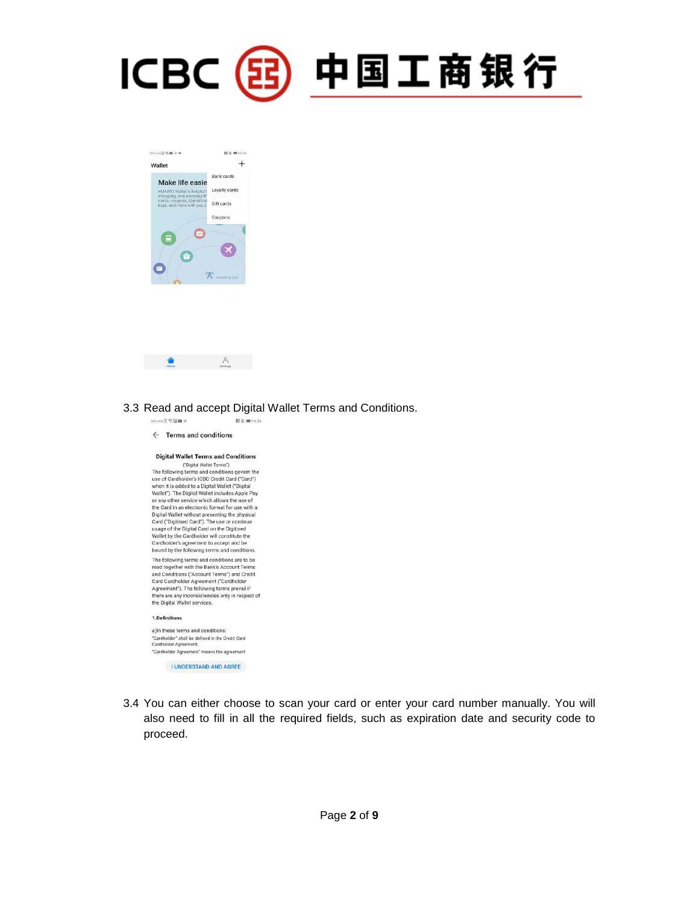





### 3.3 Read and accept Digital Wallet Terms and Conditions.



3.4 You can either choose to scan your card or enter your card number manually. You will also need to fill in all the required fields, such as expiration date and security code to proceed.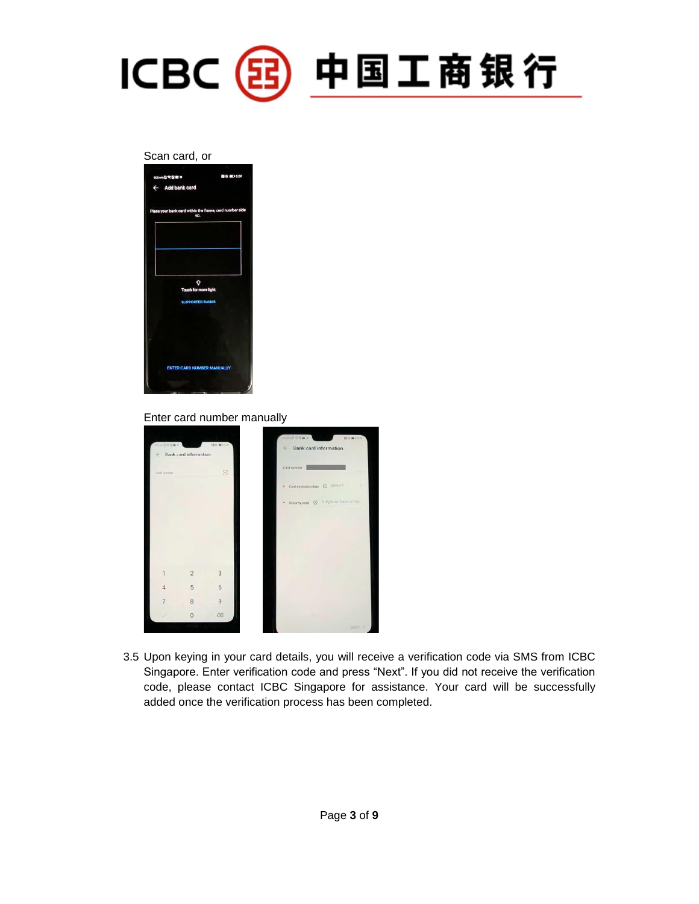

#### Scan card, or



#### Enter card number manually



3.5 Upon keying in your card details, you will receive a verification code via SMS from ICBC Singapore. Enter verification code and press "Next". If you did not receive the verification code, please contact ICBC Singapore for assistance. Your card will be successfully added once the verification process has been completed.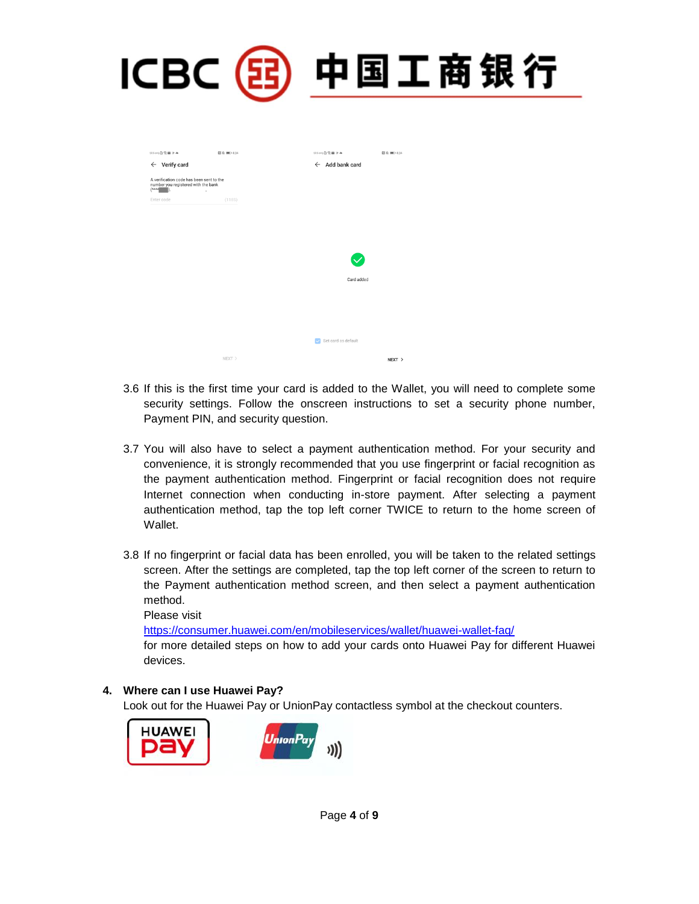| CB |                                                                                                             |                        | <b>RAY</b>                                                           |  |
|----|-------------------------------------------------------------------------------------------------------------|------------------------|----------------------------------------------------------------------|--|
|    | 005 only @ 電 B &<br>$\leftarrow$ Verify card                                                                | <b>图 &amp; ■D 4:34</b> | 005 orly @ 電 B &<br><b>日</b> ※■ 0 4:34<br>$\leftarrow$ Add bank card |  |
|    | A verification code has been sent to the<br>number you registered with the bank<br>$(****)$ .<br>Enter code | ٠<br>(118S)            |                                                                      |  |
|    |                                                                                                             |                        | ◆                                                                    |  |
|    |                                                                                                             |                        | Card added                                                           |  |
|    |                                                                                                             | NEXT                   | Set card as default<br>NEXT >                                        |  |

- 3.6 If this is the first time your card is added to the Wallet, you will need to complete some security settings. Follow the onscreen instructions to set a security phone number, Payment PIN, and security question.
- 3.7 You will also have to select a payment authentication method. For your security and convenience, it is strongly recommended that you use fingerprint or facial recognition as the payment authentication method. Fingerprint or facial recognition does not require Internet connection when conducting in-store payment. After selecting a payment authentication method, tap the top left corner TWICE to return to the home screen of Wallet.
- 3.8 If no fingerprint or facial data has been enrolled, you will be taken to the related settings screen. After the settings are completed, tap the top left corner of the screen to return to the Payment authentication method screen, and then select a payment authentication method.

Please visit

<https://consumer.huawei.com/en/mobileservices/wallet/huawei-wallet-faq/>

for more detailed steps on how to add your cards onto Huawei Pay for different Huawei devices.

### **4. Where can I use Huawei Pay?**

Look out for the Huawei Pay or UnionPay contactless symbol at the checkout counters.

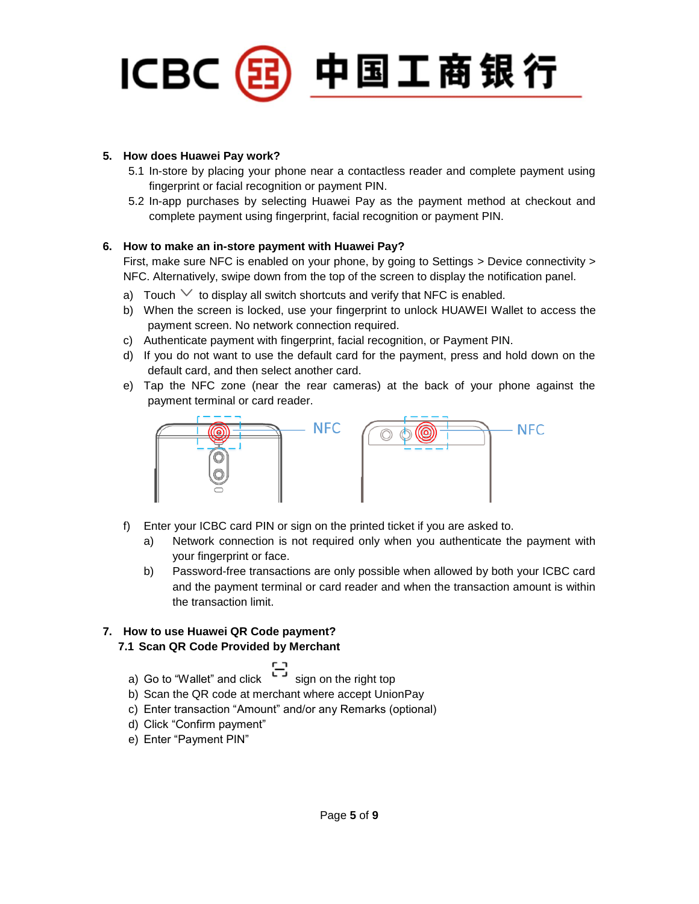

# **5. How does Huawei Pay work?**

- 5.1 In-store by placing your phone near a contactless reader and complete payment using fingerprint or facial recognition or payment PIN.
- 5.2 In-app purchases by selecting Huawei Pay as the payment method at checkout and complete payment using fingerprint, facial recognition or payment PIN.

# **6. How to make an in-store payment with Huawei Pay?**

First, make sure NFC is enabled on your phone, by going to Settings > Device connectivity > NFC. Alternatively, swipe down from the top of the screen to display the notification panel.

- a) Touch  $\vee$  to display all switch shortcuts and verify that NFC is enabled.
- b) When the screen is locked, use your fingerprint to unlock HUAWEI Wallet to access the payment screen. No network connection required.
- c) Authenticate payment with fingerprint, facial recognition, or Payment PIN.
- d) If you do not want to use the default card for the payment, press and hold down on the default card, and then select another card.
- e) Tap the NFC zone (near the rear cameras) at the back of your phone against the payment terminal or card reader.



- f) Enter your ICBC card PIN or sign on the printed ticket if you are asked to.
	- a) Network connection is not required only when you authenticate the payment with your fingerprint or face.
	- b) Password-free transactions are only possible when allowed by both your ICBC card and the payment terminal or card reader and when the transaction amount is within the transaction limit.

# **7. How to use Huawei QR Code payment?**

# **7.1 Scan QR Code Provided by Merchant**

- 
- a) Go to "Wallet" and click  $\overline{\phantom{0}}$  sign on the right top
- b) Scan the QR code at merchant where accept UnionPay
- c) Enter transaction "Amount" and/or any Remarks (optional)
- d) Click "Confirm payment"
- e) Enter "Payment PIN"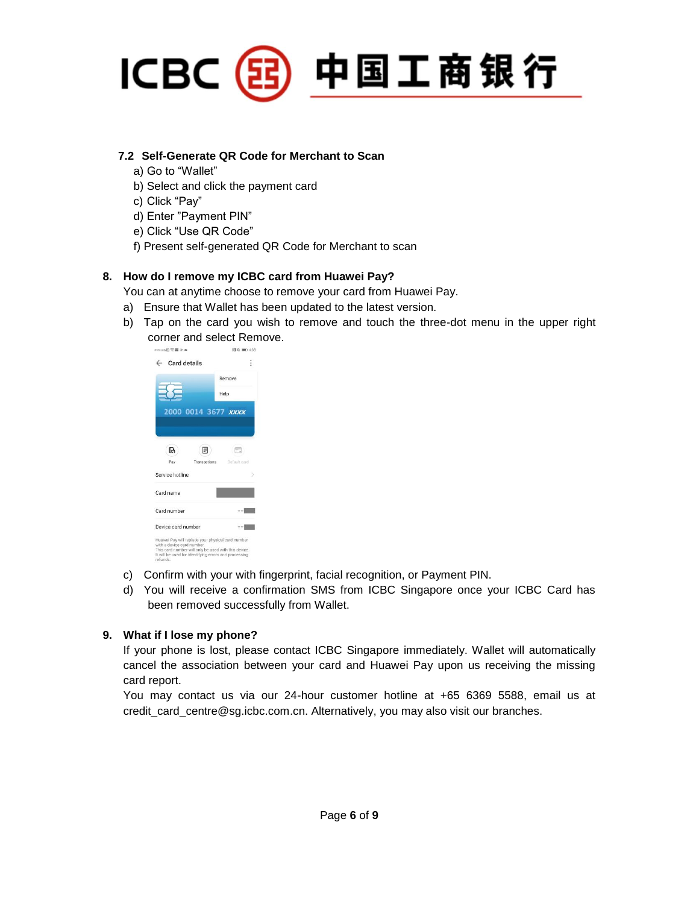

### **7.2 Self-Generate QR Code for Merchant to Scan**

- a) Go to "Wallet"
- b) Select and click the payment card
- c) Click "Pay"
- d) Enter "Payment PIN"
- e) Click "Use QR Code"
- f) Present self-generated QR Code for Merchant to scan

# **8. How do I remove my ICBC card from Huawei Pay?**

You can at anytime choose to remove your card from Huawei Pay.

- a) Ensure that Wallet has been updated to the latest version.
- b) Tap on the card you wish to remove and touch the three-dot menu in the upper right corner and select Remove.



- c) Confirm with your with fingerprint, facial recognition, or Payment PIN.
- d) You will receive a confirmation SMS from ICBC Singapore once your ICBC Card has been removed successfully from Wallet.

### **9. What if I lose my phone?**

If your phone is lost, please contact ICBC Singapore immediately. Wallet will automatically cancel the association between your card and Huawei Pay upon us receiving the missing card report.

You may contact us via our 24-hour customer hotline at +65 6369 5588, email us at credit card centre@sg.icbc.com.cn. Alternatively, you may also visit our branches.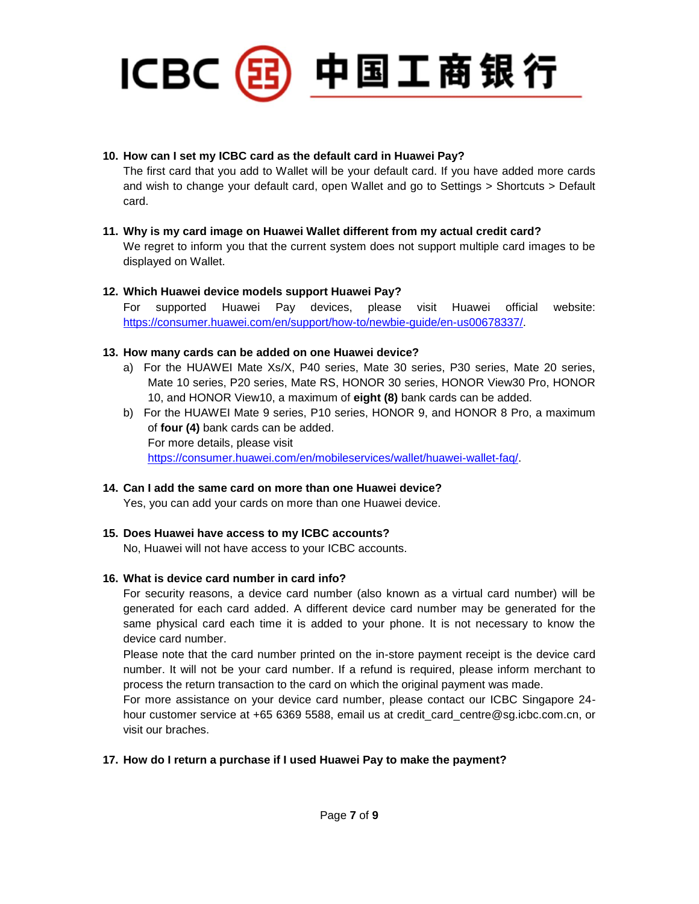

### **10. How can I set my ICBC card as the default card in Huawei Pay?**

The first card that you add to Wallet will be your default card. If you have added more cards and wish to change your default card, open Wallet and go to Settings > Shortcuts > Default card.

# **11. Why is my card image on Huawei Wallet different from my actual credit card?**  We regret to inform you that the current system does not support multiple card images to be displayed on Wallet.

# **12. Which Huawei device models support Huawei Pay?**

For supported Huawei Pay devices, please visit Huawei official website: [https://consumer.huawei.com/en/support/how-to/newbie-guide/en-us00678337/.](https://consumer.huawei.com/en/support/how-to/newbie-guide/en-us00678337/)

# **13. How many cards can be added on one Huawei device?**

- a) For the HUAWEI Mate Xs/X, P40 series, Mate 30 series, P30 series, Mate 20 series, Mate 10 series, P20 series, Mate RS, HONOR 30 series, HONOR View30 Pro, HONOR 10, and HONOR View10, a maximum of **eight (8)** bank cards can be added.
- b) For the HUAWEI Mate 9 series, P10 series, HONOR 9, and HONOR 8 Pro, a maximum of **four (4)** bank cards can be added. For more details, please visit [https://consumer.huawei.com/en/mobileservices/wallet/huawei-wallet-faq/.](https://consumer.huawei.com/en/mobileservices/wallet/huawei-wallet-faq/)

# **14. Can I add the same card on more than one Huawei device?**

Yes, you can add your cards on more than one Huawei device.

# **15. Does Huawei have access to my ICBC accounts?**

No, Huawei will not have access to your ICBC accounts.

# **16. What is device card number in card info?**

For security reasons, a device card number (also known as a virtual card number) will be generated for each card added. A different device card number may be generated for the same physical card each time it is added to your phone. It is not necessary to know the device card number.

Please note that the card number printed on the in-store payment receipt is the device card number. It will not be your card number. If a refund is required, please inform merchant to process the return transaction to the card on which the original payment was made.

For more assistance on your device card number, please contact our ICBC Singapore 24 hour customer service at +65 6369 5588, email us at credit\_card\_centre@sg.icbc.com.cn, or visit our braches.

# **17. How do I return a purchase if I used Huawei Pay to make the payment?**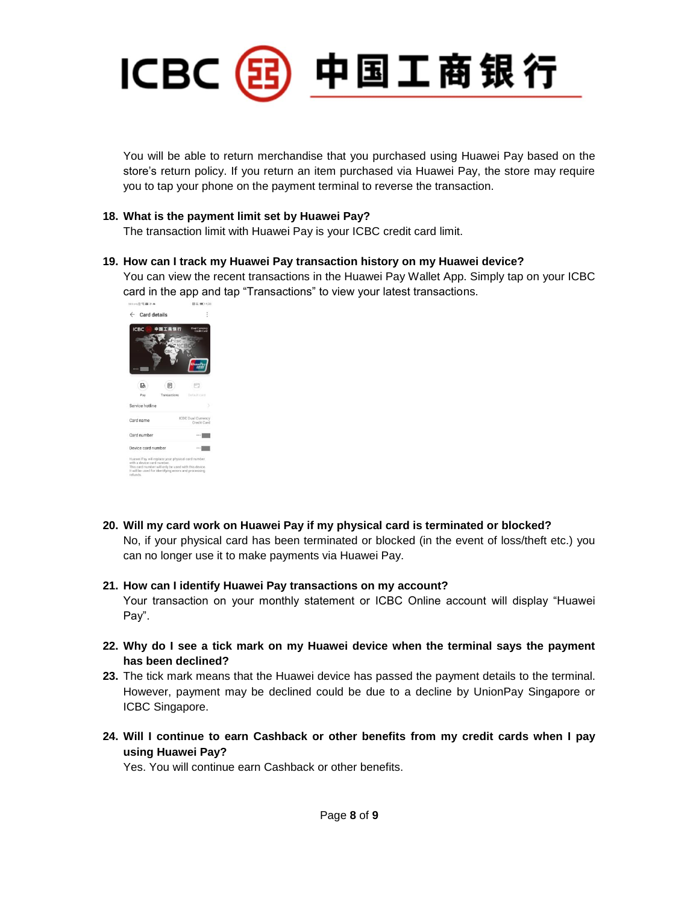

You will be able to return merchandise that you purchased using Huawei Pay based on the store's return policy. If you return an item purchased via Huawei Pay, the store may require you to tap your phone on the payment terminal to reverse the transaction.

### **18. What is the payment limit set by Huawei Pay?**

The transaction limit with Huawei Pay is your ICBC credit card limit.

### **19. How can I track my Huawei Pay transaction history on my Huawei device?**

You can view the recent transactions in the Huawei Pay Wallet App. Simply tap on your ICBC card in the app and tap "Transactions" to view your latest transactions.



**20. Will my card work on Huawei Pay if my physical card is terminated or blocked?**  No, if your physical card has been terminated or blocked (in the event of loss/theft etc.) you can no longer use it to make payments via Huawei Pay.

#### **21. How can I identify Huawei Pay transactions on my account?**

Your transaction on your monthly statement or ICBC Online account will display "Huawei Pay".

- **22. Why do I see a tick mark on my Huawei device when the terminal says the payment has been declined?**
- **23.** The tick mark means that the Huawei device has passed the payment details to the terminal. However, payment may be declined could be due to a decline by UnionPay Singapore or ICBC Singapore.
- **24. Will I continue to earn Cashback or other benefits from my credit cards when I pay using Huawei Pay?**

Yes. You will continue earn Cashback or other benefits.